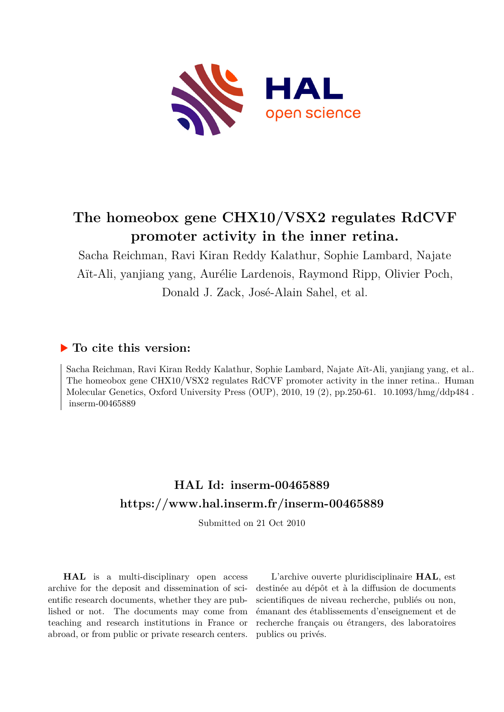

# **The homeobox gene CHX10/VSX2 regulates RdCVF promoter activity in the inner retina.**

Sacha Reichman, Ravi Kiran Reddy Kalathur, Sophie Lambard, Najate Aït-Ali, yanjiang yang, Aurélie Lardenois, Raymond Ripp, Olivier Poch, Donald J. Zack, José-Alain Sahel, et al.

## **To cite this version:**

Sacha Reichman, Ravi Kiran Reddy Kalathur, Sophie Lambard, Najate Aït-Ali, yanjiang yang, et al.. The homeobox gene CHX10/VSX2 regulates RdCVF promoter activity in the inner retina.. Human Molecular Genetics, Oxford University Press (OUP), 2010, 19 (2), pp.250-61.  $10.1093/hmg/ddp484$ .  $inserm-00465889$ 

## **HAL Id: inserm-00465889 <https://www.hal.inserm.fr/inserm-00465889>**

Submitted on 21 Oct 2010

**HAL** is a multi-disciplinary open access archive for the deposit and dissemination of scientific research documents, whether they are published or not. The documents may come from teaching and research institutions in France or abroad, or from public or private research centers.

L'archive ouverte pluridisciplinaire **HAL**, est destinée au dépôt et à la diffusion de documents scientifiques de niveau recherche, publiés ou non, émanant des établissements d'enseignement et de recherche français ou étrangers, des laboratoires publics ou privés.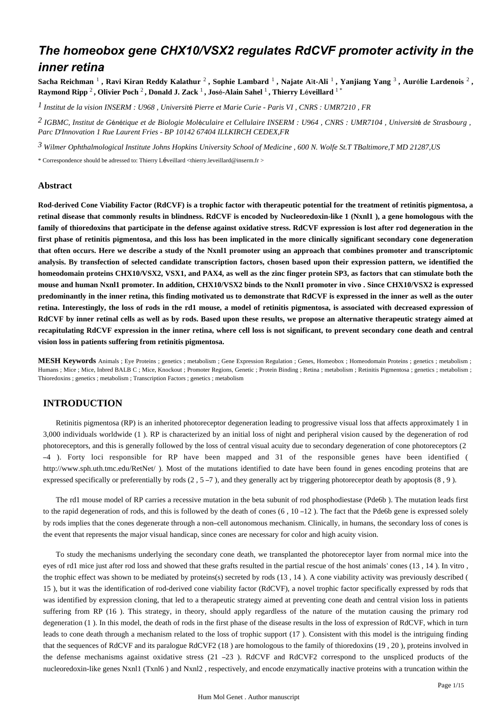## *The homeobox gene CHX10/VSX2 regulates RdCVF promoter activity in the inner retina*

Sacha Reichman <sup>1</sup> , Ravi Kiran Reddy Kalathur <sup>2</sup> , Sophie Lambard <sup>1</sup> , Najate Aït-Ali <sup>1</sup> , Yanjiang Yang <sup>3</sup> , Aurélie Lardenois <sup>2</sup> , **Raymond Ripp** <sup>2</sup> **, Olivier Poch** <sup>2</sup> **, Donald J. Zack** <sup>1</sup> **, Jos**é**-Alain Sahel** <sup>1</sup> **, Thierry L**é**veillard** 1 \*

*Institut de la vision 1 INSERM : U968 , Universit*é *Pierre et Marie Curie - Paris VI , CNRS : UMR7210 , FR*

*IGBMC, Institut de G n tique et de Biologie Mol culaire et Cellulaire 2* <sup>é</sup> <sup>é</sup> <sup>é</sup> *INSERM : U964 , CNRS : UMR7104 , Universit*é *de Strasbourg , Parc D*'*Innovation 1 Rue Laurent Fries - BP 10142 67404 ILLKIRCH CEDEX,FR*

*Wilmer Ophthalmological Institute 3 Johns Hopkins University School of Medicine , 600 N. Wolfe St.T TBaltimore,T MD 21287,US*

\* Correspondence should be adressed to: Thierry Léveillard <thierry.leveillard@inserm.fr >

#### **Abstract**

**Rod-derived Cone Viability Factor (RdCVF) is a trophic factor with therapeutic potential for the treatment of retinitis pigmentosa, a retinal disease that commonly results in blindness. RdCVF is encoded by Nucleoredoxin-like 1 (Nxnl1 ), a gene homologous with the family of thioredoxins that participate in the defense against oxidative stress. RdCVF expression is lost after rod degeneration in the first phase of retinitis pigmentosa, and this loss has been implicated in the more clinically significant secondary cone degeneration that often occurs. Here we describe a study of the Nxnl1 promoter using an approach that combines promoter and transcriptomic analysis. By transfection of selected candidate transcription factors, chosen based upon their expression pattern, we identified the homeodomain proteins CHX10/VSX2, VSX1, and PAX4, as well as the zinc finger protein SP3, as factors that can stimulate both the mouse and human Nxnl1 promoter. In addition, CHX10/VSX2 binds to the Nxnl1 promoter in vivo . Since CHX10/VSX2 is expressed predominantly in the inner retina, this finding motivated us to demonstrate that RdCVF is expressed in the inner as well as the outer retina. Interestingly, the loss of rods in the rd1 mouse, a model of retinitis pigmentosa, is associated with decreased expression of RdCVF by inner retinal cells as well as by rods. Based upon these results, we propose an alternative therapeutic strategy aimed at recapitulating RdCVF expression in the inner retina, where cell loss is not significant, to prevent secondary cone death and central vision loss in patients suffering from retinitis pigmentosa.**

**MESH Keywords** Animals ; Eye Proteins ; genetics ; metabolism ; Gene Expression Regulation ; Genes, Homeobox ; Homeodomain Proteins ; genetics ; metabolism ; Humans ; Mice ; Mice, Inbred BALB C; Mice, Knockout; Promoter Regions, Genetic; Protein Binding; Retina; metabolism; Retinitis Pigmentosa; genetics; metabolism; Thioredoxins ; genetics ; metabolism ; Transcription Factors ; genetics ; metabolism

## **INTRODUCTION**

Retinitis pigmentosa (RP) is an inherited photoreceptor degeneration leading to progressive visual loss that affects approximately 1 in 3,000 individuals worldwide (1 ). RP is characterized by an initial loss of night and peripheral vision caused by the degeneration of rod photoreceptors, and this is generally followed by the loss of central visual acuity due to secondary degeneration of cone photoreceptors (2 –4 ). Forty loci responsible for RP have been mapped and 31 of the responsible genes have been identified ( http://www.sph.uth.tmc.edu/RetNet/ ). Most of the mutations identified to date have been found in genes encoding proteins that are expressed specifically or preferentially by rods  $(2, 5 - 7)$ , and they generally act by triggering photoreceptor death by apoptosis  $(8, 9)$ .

The rd1 mouse model of RP carries a recessive mutation in the beta subunit of rod phosphodiestase (Pde6b ). The mutation leads first to the rapid degeneration of rods, and this is followed by the death of cones  $(6, 10-12)$ . The fact that the Pde6b gene is expressed solely by rods implies that the cones degenerate through a non–cell autonomous mechanism. Clinically, in humans, the secondary loss of cones is the event that represents the major visual handicap, since cones are necessary for color and high acuity vision.

To study the mechanisms underlying the secondary cone death, we transplanted the photoreceptor layer from normal mice into the eyes of rd1 mice just after rod loss and showed that these grafts resulted in the partial rescue of the host animals' cones (13 , 14 ). In vitro , the trophic effect was shown to be mediated by proteins(s) secreted by rods (13 , 14 ). A cone viability activity was previously described ( 15 ), but it was the identification of rod-derived cone viability factor (RdCVF), a novel trophic factor specifically expressed by rods that was identified by expression cloning, that led to a therapeutic strategy aimed at preventing cone death and central vision loss in patients suffering from RP (16 ). This strategy, in theory, should apply regardless of the nature of the mutation causing the primary rod degeneration (1 ). In this model, the death of rods in the first phase of the disease results in the loss of expression of RdCVF, which in turn leads to cone death through a mechanism related to the loss of trophic support (17 ). Consistent with this model is the intriguing finding that the sequences of RdCVF and its paralogue RdCVF2 (18 ) are homologous to the family of thioredoxins (19 , 20 ), proteins involved in the defense mechanisms against oxidative stress (21 –23 ). RdCVF and RdCVF2 correspond to the unspliced products of the nucleoredoxin-like genes Nxnl1 (Txnl6 ) and Nxnl2 , respectively, and encode enzymatically inactive proteins with a truncation within the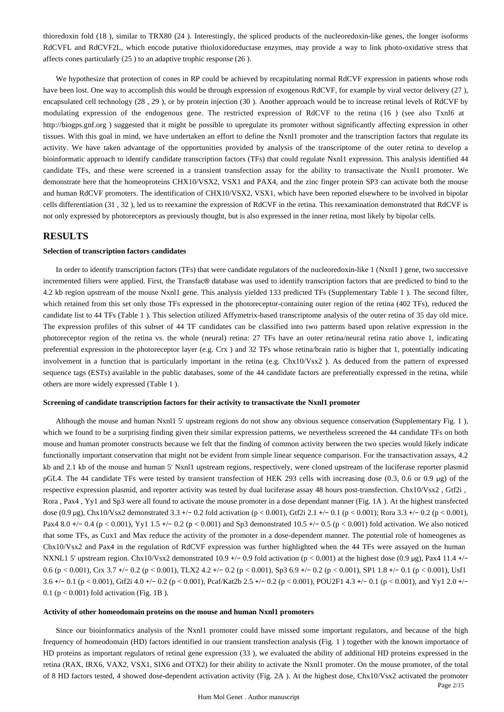thioredoxin fold (18 ), similar to TRX80 (24 ). Interestingly, the spliced products of the nucleoredoxin-like genes, the longer isoforms RdCVFL and RdCVF2L, which encode putative thioloxidoreductase enzymes, may provide a way to link photo-oxidative stress that affects cones particularly (25 ) to an adaptive trophic response (26 ).

We hypothesize that protection of cones in RP could be achieved by recapitulating normal RdCVF expression in patients whose rods have been lost. One way to accomplish this would be through expression of exogenous RdCVF, for example by viral vector delivery (27 ), encapsulated cell technology (28 , 29 ), or by protein injection (30 ). Another approach would be to increase retinal levels of RdCVF by modulating expression of the endogenous gene. The restricted expression of RdCVF to the retina (16 ) (see also Txnl6 at http://biogps.gnf.org ) suggested that it might be possible to upregulate its promoter without significantly affecting expression in other tissues. With this goal in mind, we have undertaken an effort to define the Nxnl1 promoter and the transcription factors that regulate its activity. We have taken advantage of the opportunities provided by analysis of the transcriptome of the outer retina to develop a bioinformatic approach to identify candidate transcription factors (TFs) that could regulate Nxnl1 expression. This analysis identified 44 candidate TFs, and these were screened in a transient transfection assay for the ability to transactivate the Nxnl1 promoter. We demonstrate here that the homeoproteins CHX10/VSX2, VSX1 and PAX4, and the zinc finger protein SP3 can activate both the mouse and human RdCVF promoters. The identification of CHX10/VSX2, VSX1, which have been reported elsewhere to be involved in bipolar cells differentiation (31 , 32 ), led us to reexamine the expression of RdCVF in the retina. This reexamination demonstrated that RdCVF is not only expressed by photoreceptors as previously thought, but is also expressed in the inner retina, most likely by bipolar cells.

## **RESULTS**

#### **Selection of transcription factors candidates**

In order to identify transcription factors (TFs) that were candidate regulators of the nucleoredoxin-like 1 (Nxnl1 ) gene, two successive incremented filters were applied. First, the Transfac® database was used to identify transcription factors that are predicted to bind to the 4.2 kb region upstream of the mouse Nxnl1 gene. This analysis yielded 133 predicted TFs (Supplementary Table 1 ). The second filter, which retained from this set only those TFs expressed in the photoreceptor-containing outer region of the retina (402 TFs), reduced the candidate list to 44 TFs (Table 1 ). This selection utilized Affymetrix-based transcriptome analysis of the outer retina of 35 day old mice. The expression profiles of this subset of 44 TF candidates can be classified into two patterns based upon relative expression in the photoreceptor region of the retina vs. the whole (neural) retina: 27 TFs have an outer retina/neural retina ratio above 1, indicating preferential expression in the photoreceptor layer (e.g. Crx ) and 32 TFs whose retina/brain ratio is higher that 1, potentially indicating involvement in a function that is particularly important in the retina (e.g. Chx10/Vsx2 ). As deduced from the pattern of expressed sequence tags (ESTs) available in the public databases, some of the 44 candidate factors are preferentially expressed in the retina, while others are more widely expressed (Table 1 ).

#### **Screening of candidate transcription factors for their activity to transactivate the Nxnl1 promoter**

Although the mouse and human Nxnl1 5′ upstream regions do not show any obvious sequence conservation (Supplementary Fig. 1 ), which we found to be a surprising finding given their similar expression patterns, we nevertheless screened the 44 candidate TFs on both mouse and human promoter constructs because we felt that the finding of common activity between the two species would likely indicate functionally important conservation that might not be evident from simple linear sequence comparison. For the transactivation assays, 4.2 kb and 2.1 kb of the mouse and human 5′ Nxnl1 upstream regions, respectively, were cloned upstream of the luciferase reporter plasmid pGL4. The 44 candidate TFs were tested by transient transfection of HEK 293 cells with increasing dose (0.3, 0.6 or 0.9 μg) of the respective expression plasmid, and reporter activity was tested by dual luciferase assay 48 hours post-transfection. Chx10/Vsx2 , Gtf2i , Rora , Pax4 , Yy1 and Sp3 were all found to activate the mouse promoter in a dose dependant manner (Fig. 1A ). At the highest transfected dose (0.9 µg), Chx10/Vsx2 demonstrated 3.3 +/− 0.2 fold activation (p < 0.001), Gtf2i 2.1 +/− 0.1 (p < 0.001); Rora 3.3 +/− 0.2 (p < 0.001), Pax4 8.0 +/− 0.4 (p < 0.001), Yy1 1.5 +/− 0.2 (p < 0.001) and Sp3 demonstrated 10.5 +/− 0.5 (p < 0.001) fold activation. We also noticed that some TFs, as Cux1 and Max reduce the activity of the promoter in a dose-dependent manner. The potential role of homeogenes as Chx10/Vsx2 and Pax4 in the regulation of RdCVF expression was further highlighted when the 44 TFs were assayed on the human NXNL1 5' upstream region. Chx10/Vsx2 demonstrated 10.9 +/− 0.9 fold activation (p < 0.001) at the highest dose (0.9 μg), Pax4 11.4 +/− 0.6 (p < 0.001), Crx 3.7 +/− 0.2 (p < 0.001), TLX2 4.2 +/− 0.2 (p < 0.001), Sp3 6.9 +/− 0.2 (p < 0.001), SP1 1.8 +/− 0.1 (p < 0.001), Usf1 3.6 +/− 0.1 (p < 0.001), Gtf2i 4.0 +/− 0.2 (p < 0.001), Pcaf/Kat2b 2.5 +/− 0.2 (p < 0.001), POU2F1 4.3 +/− 0.1 (p < 0.001), and Yy1 2.0 +/− 0.1 ( $p < 0.001$ ) fold activation (Fig. 1B).

#### **Activity of other homeodomain proteins on the mouse and human Nxnl1 promoters**

Since our bioinformatics analysis of the Nxnl1 promoter could have missed some important regulators, and because of the high frequency of homeodomain (HD) factors identified in our transient transfection analysis (Fig. 1 ) together with the known importance of HD proteins as important regulators of retinal gene expression (33 ), we evaluated the ability of additional HD proteins expressed in the retina (RAX, IRX6, VAX2, VSX1, SIX6 and OTX2) for their ability to activate the Nxnl1 promoter. On the mouse promoter, of the total of 8 HD factors tested, 4 showed dose-dependent activation activity (Fig. 2A ). At the highest dose, Chx10/Vsx2 activated the promoter

Page 2/15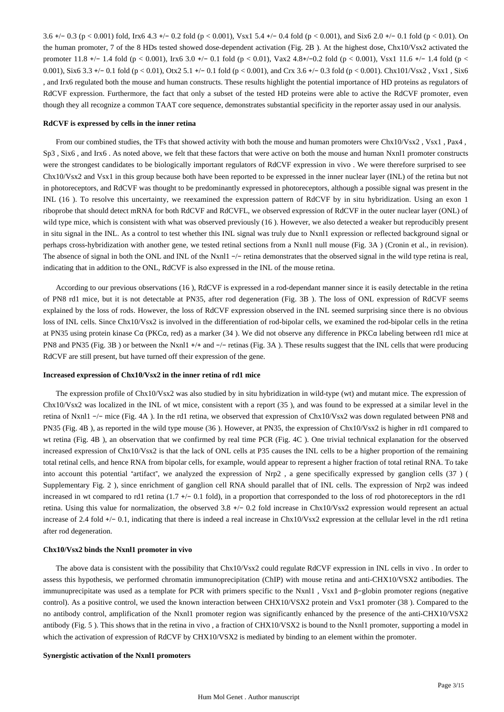3.6 +/− 0.3 (p < 0.001) fold, Irx6 4.3 +/− 0.2 fold (p < 0.001), Vsx1 5.4 +/− 0.4 fold (p < 0.001), and Six6 2.0 +/− 0.1 fold (p < 0.01). On the human promoter, 7 of the 8 HDs tested showed dose-dependent activation (Fig. 2B ). At the highest dose, Chx10/Vsx2 activated the promoter 11.8 +/− 1.4 fold (p < 0.001), Irx6 3.0 +/− 0.1 fold (p < 0.01), Vax2 4.8+/−0.2 fold (p < 0.001), Vsx1 11.6 +/− 1.4 fold (p < 0.001), Six6 3.3 +/− 0.1 fold (p < 0.01), Otx2 5.1 +/− 0.1 fold (p < 0.001), and Crx 3.6 +/− 0.3 fold (p < 0.001). Chx101/Vsx2 , Vsx1 , Six6 , and Irx6 regulated both the mouse and human constructs. These results highlight the potential importance of HD proteins as regulators of RdCVF expression. Furthermore, the fact that only a subset of the tested HD proteins were able to active the RdCVF promoter, even though they all recognize a common TAAT core sequence, demonstrates substantial specificity in the reporter assay used in our analysis.

#### **RdCVF is expressed by cells in the inner retina**

From our combined studies, the TFs that showed activity with both the mouse and human promoters were Chx10/Vsx2 , Vsx1 , Pax4 , Sp3 , Six6 , and Irx6 . As noted above, we felt that these factors that were active on both the mouse and human Nxnl1 promoter constructs were the strongest candidates to be biologically important regulators of RdCVF expression in vivo . We were therefore surprised to see Chx10/Vsx2 and Vsx1 in this group because both have been reported to be expressed in the inner nuclear layer (INL) of the retina but not in photoreceptors, and RdCVF was thought to be predominantly expressed in photoreceptors, although a possible signal was present in the INL (16 ). To resolve this uncertainty, we reexamined the expression pattern of RdCVF by in situ hybridization. Using an exon 1 riboprobe that should detect mRNA for both RdCVF and RdCVFL, we observed expression of RdCVF in the outer nuclear layer (ONL) of wild type mice, which is consistent with what was observed previously (16). However, we also detected a weaker but reproducibly present in situ signal in the INL. As a control to test whether this INL signal was truly due to Nxnl1 expression or reflected background signal or perhaps cross-hybridization with another gene, we tested retinal sections from a Nxnl1 null mouse (Fig. 3A ) (Cronin et al., in revision). The absence of signal in both the ONL and INL of the Nxnl1 −/− retina demonstrates that the observed signal in the wild type retina is real, indicating that in addition to the ONL, RdCVF is also expressed in the INL of the mouse retina.

According to our previous observations (16 ), RdCVF is expressed in a rod-dependant manner since it is easily detectable in the retina of PN8 rd1 mice, but it is not detectable at PN35, after rod degeneration (Fig. 3B ). The loss of ONL expression of RdCVF seems explained by the loss of rods. However, the loss of RdCVF expression observed in the INL seemed surprising since there is no obvious loss of INL cells. Since Chx10/Vsx2 is involved in the differentiation of rod-bipolar cells, we examined the rod-bipolar cells in the retina at PN35 using protein kinase Cα (PKCα, red) as a marker (34 ). We did not observe any difference in PKCα labeling between rd1 mice at PN8 and PN35 (Fig. 3B ) or between the Nxnl1 +/+ and −/− retinas (Fig. 3A ). These results suggest that the INL cells that were producing RdCVF are still present, but have turned off their expression of the gene.

#### **Increased expression of Chx10/Vsx2 in the inner retina of rd1 mice**

The expression profile of Chx10/Vsx2 was also studied by in situ hybridization in wild-type (wt) and mutant mice. The expression of Chx10/Vsx2 was localized in the INL of wt mice, consistent with a report (35 ), and was found to be expressed at a similar level in the retina of Nxnl1 −/− mice (Fig. 4A ). In the rd1 retina, we observed that expression of Chx10/Vsx2 was down regulated between PN8 and PN35 (Fig. 4B ), as reported in the wild type mouse (36 ). However, at PN35, the expression of Chx10/Vsx2 is higher in rd1 compared to wt retina (Fig. 4B ), an observation that we confirmed by real time PCR (Fig. 4C ). One trivial technical explanation for the observed increased expression of Chx10/Vsx2 is that the lack of ONL cells at P35 causes the INL cells to be a higher proportion of the remaining total retinal cells, and hence RNA from bipolar cells, for example, would appear to represent a higher fraction of total retinal RNA. To take into account this potential "artifact", we analyzed the expression of Nrp2 , a gene specifically expressed by ganglion cells (37 ) ( Supplementary Fig. 2 ), since enrichment of ganglion cell RNA should parallel that of INL cells. The expression of Nrp2 was indeed increased in wt compared to rd1 retina (1.7 +/− 0.1 fold), in a proportion that corresponded to the loss of rod photoreceptors in the rd1 retina. Using this value for normalization, the observed 3.8 +/− 0.2 fold increase in Chx10/Vsx2 expression would represent an actual increase of 2.4 fold +/− 0.1, indicating that there is indeed a real increase in Chx10/Vsx2 expression at the cellular level in the rd1 retina after rod degeneration.

#### **Chx10/Vsx2 binds the Nxnl1 promoter in vivo**

The above data is consistent with the possibility that Chx10/Vsx2 could regulate RdCVF expression in INL cells in vivo . In order to assess this hypothesis, we performed chromatin immunoprecipitation (ChIP) with mouse retina and anti-CHX10/VSX2 antibodies. The immunuprecipitate was used as a template for PCR with primers specific to the Nxnl1 , Vsx1 and β−globin promoter regions (negative control). As a positive control, we used the known interaction between CHX10/VSX2 protein and Vsx1 promoter (38 ). Compared to the no antibody control, amplification of the Nxnl1 promoter region was significantly enhanced by the presence of the anti-CHX10/VSX2 antibody (Fig. 5 ). This shows that in the retina in vivo , a fraction of CHX10/VSX2 is bound to the Nxnl1 promoter, supporting a model in which the activation of expression of RdCVF by CHX10/VSX2 is mediated by binding to an element within the promoter.

#### **Synergistic activation of the Nxnl1 promoters**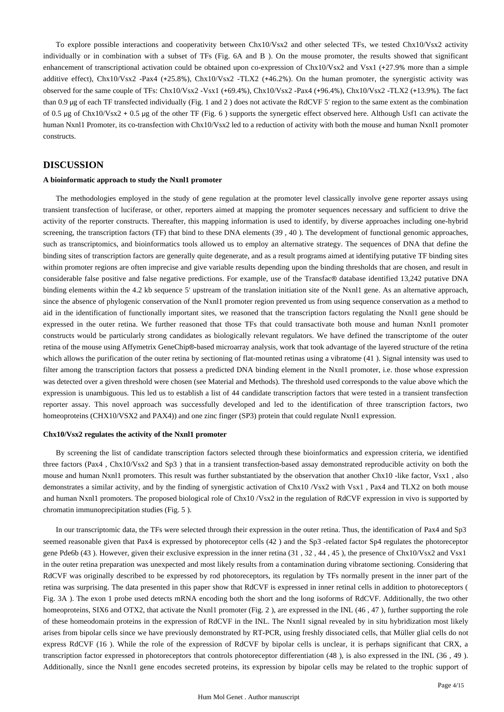To explore possible interactions and cooperativity between Chx10/Vsx2 and other selected TFs, we tested Chx10/Vsx2 activity individually or in combination with a subset of TFs (Fig. 6A and B ). On the mouse promoter, the results showed that significant enhancement of transcriptional activation could be obtained upon co-expression of Chx10/Vsx2 and Vsx1 (+27.9% more than a simple additive effect), Chx10/Vsx2 -Pax4 (+25.8%), Chx10/Vsx2 -TLX2 (+46.2%). On the human promoter, the synergistic activity was observed for the same couple of TFs: Chx10/Vsx2 -Vsx1 (+69.4%), Chx10/Vsx2 -Pax4 (+96.4%), Chx10/Vsx2 -TLX2 (+13.9%). The fact than 0.9 μg of each TF transfected individually (Fig. 1 and 2 ) does not activate the RdCVF 5′ region to the same extent as the combination of 0.5 μg of Chx10/Vsx2 + 0.5 μg of the other TF (Fig. 6 ) supports the synergetic effect observed here. Although Usf1 can activate the human Nxnl1 Promoter, its co-transfection with Chx10/Vsx2 led to a reduction of activity with both the mouse and human Nxnl1 promoter constructs.

## **DISCUSSION**

#### **A bioinformatic approach to study the Nxnl1 promoter**

The methodologies employed in the study of gene regulation at the promoter level classically involve gene reporter assays using transient transfection of luciferase, or other, reporters aimed at mapping the promoter sequences necessary and sufficient to drive the activity of the reporter constructs. Thereafter, this mapping information is used to identify, by diverse approaches including one-hybrid screening, the transcription factors (TF) that bind to these DNA elements (39, 40). The development of functional genomic approaches, such as transcriptomics, and bioinformatics tools allowed us to employ an alternative strategy. The sequences of DNA that define the binding sites of transcription factors are generally quite degenerate, and as a result programs aimed at identifying putative TF binding sites within promoter regions are often imprecise and give variable results depending upon the binding thresholds that are chosen, and result in considerable false positive and false negative predictions. For example, use of the Transfac® database identified 13,242 putative DNA binding elements within the 4.2 kb sequence 5' upstream of the translation initiation site of the Nxnl1 gene. As an alternative approach, since the absence of phylogenic conservation of the Nxnl1 promoter region prevented us from using sequence conservation as a method to aid in the identification of functionally important sites, we reasoned that the transcription factors regulating the Nxnl1 gene should be expressed in the outer retina. We further reasoned that those TFs that could transactivate both mouse and human Nxnl1 promoter constructs would be particularly strong candidates as biologically relevant regulators. We have defined the transcriptome of the outer retina of the mouse using Affymetrix GeneChip®-based microarray analysis, work that took advantage of the layered structure of the retina which allows the purification of the outer retina by sectioning of flat-mounted retinas using a vibratome (41 ). Signal intensity was used to filter among the transcription factors that possess a predicted DNA binding element in the Nxnl1 promoter, i.e. those whose expression was detected over a given threshold were chosen (see Material and Methods). The threshold used corresponds to the value above which the expression is unambiguous. This led us to establish a list of 44 candidate transcription factors that were tested in a transient transfection reporter assay. This novel approach was successfully developed and led to the identification of three transcription factors, two homeoproteins (CHX10/VSX2 and PAX4)) and one zinc finger (SP3) protein that could regulate Nxnl1 expression.

#### **Chx10/Vsx2 regulates the activity of the Nxnl1 promoter**

By screening the list of candidate transcription factors selected through these bioinformatics and expression criteria, we identified three factors (Pax4 , Chx10/Vsx2 and Sp3 ) that in a transient transfection-based assay demonstrated reproducible activity on both the mouse and human Nxnl1 promoters. This result was further substantiated by the observation that another Chx10 -like factor, Vsx1 , also demonstrates a similar activity, and by the finding of synergistic activation of Chx10 /Vsx2 with Vsx1 , Pax4 and TLX2 on both mouse and human Nxnl1 promoters. The proposed biological role of Chx10 /Vsx2 in the regulation of RdCVF expression in vivo is supported by chromatin immunoprecipitation studies (Fig. 5 ).

In our transcriptomic data, the TFs were selected through their expression in the outer retina. Thus, the identification of Pax4 and Sp3 seemed reasonable given that Pax4 is expressed by photoreceptor cells (42 ) and the Sp3 -related factor Sp4 regulates the photoreceptor gene Pde6b (43 ). However, given their exclusive expression in the inner retina (31 , 32 , 44 , 45 ), the presence of Chx10/Vsx2 and Vsx1 in the outer retina preparation was unexpected and most likely results from a contamination during vibratome sectioning. Considering that RdCVF was originally described to be expressed by rod photoreceptors, its regulation by TFs normally present in the inner part of the retina was surprising. The data presented in this paper show that RdCVF is expressed in inner retinal cells in addition to photoreceptors ( Fig. 3A ). The exon 1 probe used detects mRNA encoding both the short and the long isoforms of RdCVF. Additionally, the two other homeoproteins, SIX6 and OTX2, that activate the Nxnl1 promoter (Fig. 2), are expressed in the INL (46, 47), further supporting the role of these homeodomain proteins in the expression of RdCVF in the INL. The Nxnl1 signal revealed by in situ hybridization most likely arises from bipolar cells since we have previously demonstrated by RT-PCR, using freshly dissociated cells, that Müller glial cells do not express RdCVF (16 ). While the role of the expression of RdCVF by bipolar cells is unclear, it is perhaps significant that CRX, a transcription factor expressed in photoreceptors that controls photoreceptor differentiation (48 ), is also expressed in the INL (36 , 49 ). Additionally, since the Nxnl1 gene encodes secreted proteins, its expression by bipolar cells may be related to the trophic support of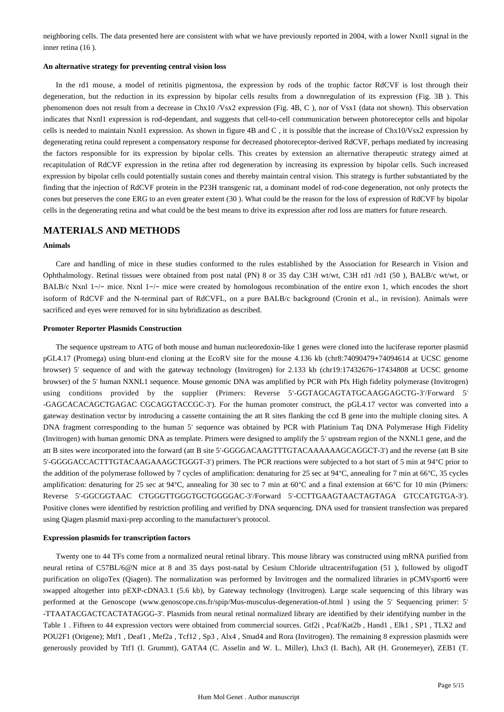neighboring cells. The data presented here are consistent with what we have previously reported in 2004, with a lower Nxnl1 signal in the inner retina (16 ).

#### **An alternative strategy for preventing central vision loss**

In the rd1 mouse, a model of retinitis pigmentosa, the expression by rods of the trophic factor RdCVF is lost through their degeneration, but the reduction in its expression by bipolar cells results from a downregulation of its expression (Fig. 3B ). This phenomenon does not result from a decrease in Chx10 /Vsx2 expression (Fig. 4B, C ), nor of Vsx1 (data not shown). This observation indicates that Nxnl1 expression is rod-dependant, and suggests that cell-to-cell communication between photoreceptor cells and bipolar cells is needed to maintain Nxnl1 expression. As shown in figure 4B and C , it is possible that the increase of Chx10/Vsx2 expression by degenerating retina could represent a compensatory response for decreased photoreceptor-derived RdCVF, perhaps mediated by increasing the factors responsible for its expression by bipolar cells. This creates by extension an alternative therapeutic strategy aimed at recapitulation of RdCVF expression in the retina after rod degeneration by increasing its expression by bipolar cells. Such increased expression by bipolar cells could potentially sustain cones and thereby maintain central vision. This strategy is further substantiated by the finding that the injection of RdCVF protein in the P23H transgenic rat, a dominant model of rod-cone degeneration, not only protects the cones but preserves the cone ERG to an even greater extent (30 ). What could be the reason for the loss of expression of RdCVF by bipolar cells in the degenerating retina and what could be the best means to drive its expression after rod loss are matters for future research.

## **MATERIALS AND METHODS**

#### **Animals**

Care and handling of mice in these studies conformed to the rules established by the Association for Research in Vision and Ophthalmology. Retinal tissues were obtained from post natal (PN) 8 or 35 day C3H wt/wt, C3H rd1 /rd1 (50 ), BALB/c wt/wt, or BALB/c Nxnl 1−/− mice. Nxnl 1−/− mice were created by homologous recombination of the entire exon 1, which encodes the short isoform of RdCVF and the N-terminal part of RdCVFL, on a pure BALB/c background (Cronin et al., in revision). Animals were sacrificed and eyes were removed for in situ hybridization as described.

#### **Promoter Reporter Plasmids Construction**

The sequence upstream to ATG of both mouse and human nucleoredoxin-like 1 genes were cloned into the luciferase reporter plasmid pGL4.17 (Promega) using blunt-end cloning at the EcoRV site for the mouse 4.136 kb (chr8:74090479+74094614 at UCSC genome browser) 5′ sequence of and with the gateway technology (Invitrogen) for 2.133 kb (chr19:17432676−17434808 at UCSC genome browser) of the 5′ human NXNL1 sequence. Mouse genomic DNA was amplified by PCR with Pfx High fidelity polymerase (Invitrogen) using conditions provided by the supplier (Primers: Reverse 5′-GGTAGCAGTATGCAAGGAGCTG-3′/Forward 5′ -GAGCACACAGCTGAGAC CGCAGGTACCGC-3′). For the human promoter construct, the pGL4.17 vector was converted into a gateway destination vector by introducing a cassette containing the att R sites flanking the ccd B gene into the multiple cloning sites. A DNA fragment corresponding to the human 5′ sequence was obtained by PCR with Platinium Taq DNA Polymerase High Fidelity (Invitrogen) with human genomic DNA as template. Primers were designed to amplify the 5′ upstream region of the NXNL1 gene, and the att B sites were incorporated into the forward (att B site 5′-GGGGACAAGTTTGTACAAAAAAGCAGGCT-3′) and the reverse (att B site 5′-GGGGACCACTTTGTACAAGAAAGCTGGGT-3′) primers. The PCR reactions were subjected to a hot start of 5 min at 94°C prior to the addition of the polymerase followed by 7 cycles of amplification: denaturing for 25 sec at 94°C, annealing for 7 min at 66°C, 35 cycles amplification: denaturing for 25 sec at 94°C, annealing for 30 sec to 7 min at 60°C and a final extension at 66°C for 10 min (Primers: Reverse 5′-GGCGGTAAC CTGGGTTGGGTGCTGGGGAC-3′/Forward 5′-CCTTGAAGTAACTAGTAGA GTCCATGTGA-3′). Positive clones were identified by restriction profiling and verified by DNA sequencing. DNA used for transient transfection was prepared using Qiagen plasmid maxi-prep according to the manufacturer's protocol.

#### **Expression plasmids for transcription factors**

Twenty one to 44 TFs come from a normalized neural retinal library. This mouse library was constructed using mRNA purified from neural retina of C57BL/6@N mice at 8 and 35 days post-natal by Cesium Chloride ultracentrifugation (51 ), followed by oligodT purification on oligoTex (Qiagen). The normalization was performed by Invitrogen and the normalized libraries in pCMVsport6 were swapped altogether into pEXP-cDNA3.1 (5.6 kb), by Gateway technology (Invitrogen). Large scale sequencing of this library was performed at the Genoscope (www.genoscope.cns.fr/spip/Mus-musculus-degeneration-of.html ) using the 5′ Sequencing primer: 5′ -TTAATACGACTCACTATAGGG-3′. Plasmids from neural retinal normalized library are identified by their identifying number in the Table 1 . Fifteen to 44 expression vectors were obtained from commercial sources. Gtf2i , Pcaf/Kat2b , Hand1 , Elk1 , SP1 , TLX2 and POU2F1 (Origene); Mtf1 , Deaf1 , Mef2a , Tcf12 , Sp3 , Alx4 , Smad4 and Rora (Invitrogen). The remaining 8 expression plasmids were generously provided by Ttf1 (I. Grummt), GATA4 (C. Asselin and W. L. Miller), Lhx3 (I. Bach), AR (H. Gronemeyer), ZEB1 (T.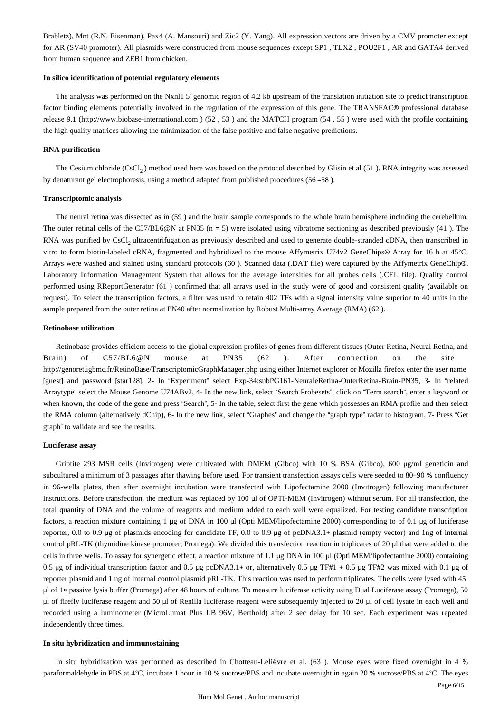Brabletz), Mnt (R.N. Eisenman), Pax4 (A. Mansouri) and Zic2 (Y. Yang). All expression vectors are driven by a CMV promoter except for AR (SV40 promoter). All plasmids were constructed from mouse sequences except SP1 , TLX2 , POU2F1 , AR and GATA4 derived from human sequence and ZEB1 from chicken.

#### **In silico identification of potential regulatory elements**

The analysis was performed on the Nxnl1 5' genomic region of 4.2 kb upstream of the translation initiation site to predict transcription factor binding elements potentially involved in the regulation of the expression of this gene. The TRANSFAC® professional database release 9.1 (http://www.biobase-international.com ) (52 , 53 ) and the MATCH program (54 , 55 ) were used with the profile containing the high quality matrices allowing the minimization of the false positive and false negative predictions.

#### **RNA purification**

The Cesium chloride  $(CsCl<sub>2</sub>)$  method used here was based on the protocol described by Glisin et al (51). RNA integrity was assessed by denaturant gel electrophoresis, using a method adapted from published procedures (56 –58 ).

#### **Transcriptomic analysis**

The neural retina was dissected as in (59 ) and the brain sample corresponds to the whole brain hemisphere including the cerebellum. The outer retinal cells of the C57/BL6@N at PN35 (n = 5) were isolated using vibratome sectioning as described previously (41 ). The RNA was purified by CsCl, ultracentrifugation as previously described and used to generate double-stranded cDNA, then transcribed in vitro to form biotin-labeled cRNA, fragmented and hybridized to the mouse Affymetrix U74v2 GeneChips® Array for 16 h at 45°C. Arrays were washed and stained using standard protocols (60 ). Scanned data (.DAT file) were captured by the Affymetrix GeneChip®. Laboratory Information Management System that allows for the average intensities for all probes cells (.CEL file). Quality control performed using RReportGenerator (61 ) confirmed that all arrays used in the study were of good and consistent quality (available on request). To select the transcription factors, a filter was used to retain 402 TFs with a signal intensity value superior to 40 units in the sample prepared from the outer retina at PN40 after normalization by Robust Multi-array Average (RMA) (62 ).

#### **Retinobase utilization**

Retinobase provides efficient access to the global expression profiles of genes from different tissues (Outer Retina, Neural Retina, and Brain) of C57/BL6@N mouse at PN35 (62 ). After connection on the site http://genoret.igbmc.fr/RetinoBase/TranscriptomicGraphManager.php using either Internet explorer or Mozilla firefox enter the user name [guest] and password [star128], 2- In "Experiment" select Exp-34:subPG161-NeuraleRetina-OuterRetina-Brain-PN35, 3- In "related Arraytype" select the Mouse Genome U74ABv2, 4- In the new link, select "Search Probesets", click on "Term search", enter a keyword or when known, the code of the gene and press "Search", 5- In the table, select first the gene which possesses an RMA profile and then select the RMA column (alternatively dChip), 6- In the new link, select "Graphes" and change the "graph type" radar to histogram, 7- Press "Get graph" to validate and see the results.

#### **Luciferase assay**

Griptite 293 MSR cells (Invitrogen) were cultivated with DMEM (Gibco) with 10 % BSA (Gibco), 600 μg/ml geneticin and subcultured a minimum of 3 passages after thawing before used. For transient transfection assays cells were seeded to 80–90 % confluency in 96-wells plates, then after overnight incubation were transfected with Lipofectamine 2000 (Invitrogen) following manufacturer instructions. Before transfection, the medium was replaced by 100 μl of OPTI-MEM (Invitrogen) without serum. For all transfection, the total quantity of DNA and the volume of reagents and medium added to each well were equalized. For testing candidate transcription factors, a reaction mixture containing 1 μg of DNA in 100 μl (Opti MEM/lipofectamine 2000) corresponding to of 0.1 μg of luciferase reporter, 0.0 to 0.9 μg of plasmids encoding for candidate TF, 0.0 to 0.9 μg of pcDNA3.1+ plasmid (empty vector) and 1ng of internal control pRL-TK (thymidine kinase promoter, Promega). We divided this transfection reaction in triplicates of 20 μl that were added to the cells in three wells. To assay for synergetic effect, a reaction mixture of 1.1 μg DNA in 100 μl (Opti MEM/lipofectamine 2000) containing 0.5 μg of individual transcription factor and 0.5 μg pcDNA3.1+ or, alternatively 0.5 μg TF#1 + 0.5 μg TF#2 was mixed with 0.1 μg of reporter plasmid and 1 ng of internal control plasmid pRL-TK. This reaction was used to perform triplicates. The cells were lysed with 45 μl of 1× passive lysis buffer (Promega) after 48 hours of culture. To measure luciferase activity using Dual Luciferase assay (Promega), 50 μl of firefly luciferase reagent and 50 μl of Renilla luciferase reagent were subsequently injected to 20 μl of cell lysate in each well and recorded using a luminometer (MicroLumat Plus LB 96V, Berthold) after 2 sec delay for 10 sec. Each experiment was repeated independently three times.

#### **In situ hybridization and immunostaining**

In situ hybridization was performed as described in Chotteau-Lelièvre et al. (63 ). Mouse eyes were fixed overnight in 4 % paraformaldehyde in PBS at 4°C, incubate 1 hour in 10 % sucrose/PBS and incubate overnight in again 20 % sucrose/PBS at 4°C. The eyes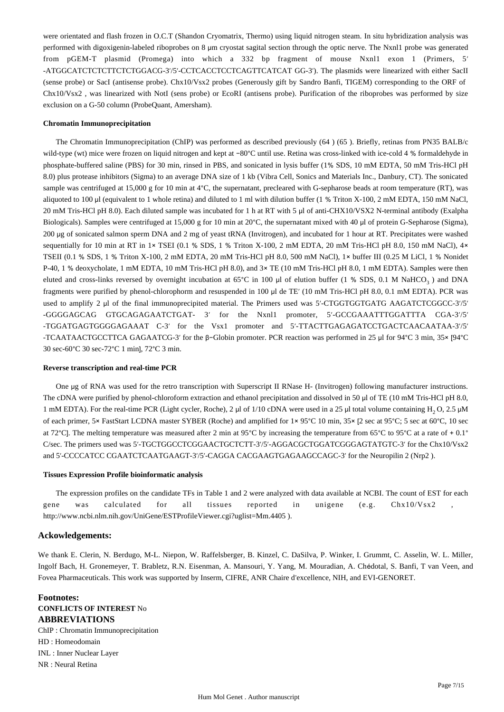were orientated and flash frozen in O.C.T (Shandon Cryomatrix, Thermo) using liquid nitrogen steam. In situ hybridization analysis was performed with digoxigenin-labeled riboprobes on 8 μm cryostat sagital section through the optic nerve. The Nxnl1 probe was generated from pGEM-T plasmid (Promega) into which a 332 bp fragment of mouse Nxnl1 exon 1 (Primers, 5′ -ATGGCATCTCTCTTCTCTGGACG-3′/5′-CCTCACCTCCTCAGTTCATCAT GG-3′). The plasmids were linearized with either SacII (sense probe) or SacI (antisense probe). Chx10/Vsx2 probes (Generously gift by Sandro Banfi, TIGEM) corresponding to the ORF of Chx10/Vsx2 , was linearized with NotI (sens probe) or EcoRI (antisens probe). Purification of the riboprobes was performed by size exclusion on a G-50 column (ProbeQuant, Amersham).

#### **Chromatin Immunoprecipitation**

The Chromatin Immunoprecipitation (ChIP) was performed as described previously (64 ) (65 ). Briefly, retinas from PN35 BALB/c wild-type (wt) mice were frozen on liquid nitrogen and kept at −80°C until use. Retina was cross-linked with ice-cold 4 % formaldehyde in phosphate-buffered saline (PBS) for 30 min, rinsed in PBS, and sonicated in lysis buffer (1% SDS, 10 mM EDTA, 50 mM Tris-HCl pH 8.0) plus protease inhibitors (Sigma) to an average DNA size of 1 kb (Vibra Cell, Sonics and Materials Inc., Danbury, CT). The sonicated sample was centrifuged at 15,000 g for 10 min at 4°C, the supernatant, precleared with G-sepharose beads at room temperature (RT), was aliquoted to 100 μl (equivalent to 1 whole retina) and diluted to 1 ml with dilution buffer (1 % Triton X-100, 2 mM EDTA, 150 mM NaCl, 20 mM Tris-HCl pH 8.0). Each diluted sample was incubated for 1 h at RT with 5 μl of anti-CHX10/VSX2 N-terminal antibody (Exalpha Biologicals). Samples were centrifuged at 15,000 g for 10 min at 20°C, the supernatant mixed with 40 μl of protein G-Sepharose (Sigma), 200 μg of sonicated salmon sperm DNA and 2 mg of yeast tRNA (Invitrogen), and incubated for 1 hour at RT. Precipitates were washed sequentially for 10 min at RT in 1× TSEI (0.1 % SDS, 1 % Triton X-100, 2 mM EDTA, 20 mM Tris-HCl pH 8.0, 150 mM NaCl), 4× TSEII (0.1 % SDS, 1 % Triton X-100, 2 mM EDTA, 20 mM Tris-HCl pH 8.0, 500 mM NaCl), 1× buffer III (0.25 M LiCl, 1 % Nonidet P-40, 1 % deoxycholate, 1 mM EDTA, 10 mM Tris-HCl pH 8.0), and 3× TE (10 mM Tris-HCl pH 8.0, 1 mM EDTA). Samples were then eluted and cross-links reversed by overnight incubation at 65°C in 100 µl of elution buffer (1 % SDS, 0.1 M NaHCO<sub>3</sub>) and DNA fragments were purified by phenol-chlorophorm and resuspended in 100 μl de TE′ (10 mM Tris-HCl pH 8.0, 0.1 mM EDTA). PCR was used to amplify 2 μl of the final immunoprecipited material. The Primers used was 5′-CTGGTGGTGATG AAGATCTCGGCC-3′/5′ -GGGGAGCAG GTGCAGAGAATCTGAT- 3′ for the Nxnl1 promoter, 5′-GCCGAAATTTGGATTTA CGA-3′/5′ -TGGATGAGTGGGGAGAAAT C-3′ for the Vsx1 promoter and 5′-TTACTTGAGAGATCCTGACTCAACAATAA-3′/5′ -TCAATAACTGCCTTCA GAGAATCG-3′ for the β−Globin promoter. PCR reaction was performed in 25 μl for 94°C 3 min, 35× [94°C 30 sec-60°C 30 sec-72°C 1 min], 72°C 3 min.

#### **Reverse transcription and real-time PCR**

One μg of RNA was used for the retro transcription with Superscript II RNase H- (Invitrogen) following manufacturer instructions. The cDNA were purified by phenol-chloroform extraction and ethanol precipitation and dissolved in 50 μl of TE (10 mM Tris-HCl pH 8.0, 1 mM EDTA). For the real-time PCR (Light cycler, Roche), 2 μl of 1/10 cDNA were used in a 25 μl total volume containing H<sub>2</sub> O, 2.5 μM of each primer, 5× FastStart LCDNA master SYBER (Roche) and amplified for 1× 95°C 10 min, 35× [2 sec at 95°C; 5 sec at 60°C, 10 sec at 72°C]. The melting temperature was measured after 2 min at 95°C by increasing the temperature from 65°C to 95°C at a rate of + 0.1° C/sec. The primers used was 5′-TGCTGGCCTCGGAACTGCTCTT-3′/5′-AGGACGCTGGATCGGGAGTATGTC-3′ for the Chx10/Vsx2 and 5′-CCCCATCC CGAATCTCAATGAAGT-3′/5′-CAGGA CACGAAGTGAGAAGCCAGC-3′ for the Neuropilin 2 (Nrp2 ).

#### **Tissues Expression Profile bioinformatic analysis**

The expression profiles on the candidate TFs in Table 1 and 2 were analyzed with data available at NCBI. The count of EST for each gene was calculated for all tissues reported in unigene (e.g. Chx10/Vsx2 http://www.ncbi.nlm.nih.gov/UniGene/ESTProfileViewer.cgi?uglist=Mm.4405 ).

#### **Ackowledgements:**

We thank E. Clerin, N. Berdugo, M-L. Niepon, W. Raffelsberger, B. Kinzel, C. DaSilva, P. Winker, I. Grummt, C. Asselin, W. L. Miller, Ingolf Bach, H. Gronemeyer, T. Brabletz, R.N. Eisenman, A. Mansouri, Y. Yang, M. Mouradian, A. Chédotal, S. Banfi, T van Veen, and Fovea Pharmaceuticals. This work was supported by Inserm, CIFRE, ANR Chaire d'excellence, NIH, and EVI-GENORET.

**Footnotes: CONFLICTS OF INTEREST** No **ABBREVIATIONS** ChIP : Chromatin Immunoprecipitation HD : Homeodomain INL : Inner Nuclear Layer NR : Neural Retina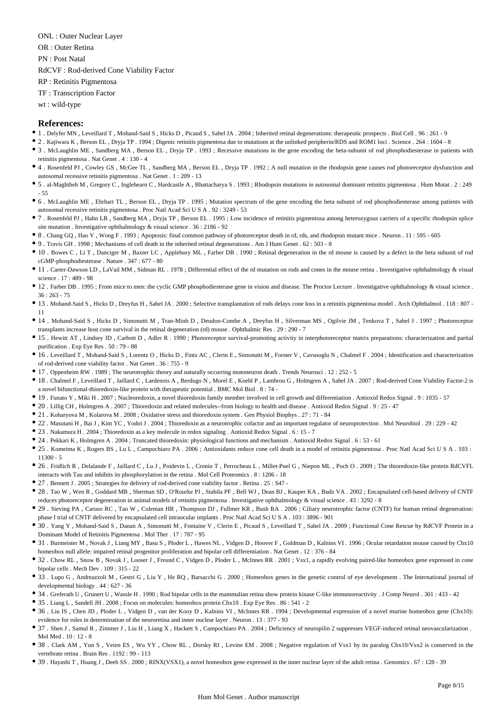ONL : Outer Nuclear Layer

OR : Outer Retina

PN : Post Natal

RdCVF : Rod-derived Cone Viability Factor

RP : Retinitis Pigmentosa

TF : Transcription Factor

wt : wild-type

## **References:**

- 1 . Delyfer MN , Leveillard T , Mohand-Said S , Hicks D , Picaud S , Sahel JA . 2004 ; Inherited retinal degenerations: therapeutic prospects . Biol Cell . 96 : 261 9
- 2 . Kajiwara K , Berson EL , Dryja TP . 1994 ; Digenic retinitis pigmentosa due to mutations at the unlinked peripherin/RDS and ROM1 loci . Science . 264 : 1604 8
- 3 . McLaughlin ME , Sandberg MA , Berson EL , Dryja TP . 1993 ; Recessive mutations in the gene encoding the beta-subunit of rod phosphodiesterase in patients with retinitis pigmentosa . Nat Genet . 4 : 130 - 4
- 4 . Rosenfeld PJ , Cowley GS , McGee TL , Sandberg MA , Berson EL , Dryja TP . 1992 ; A null mutation in the rhodopsin gene causes rod photoreceptor dysfunction and autosomal recessive retinitis pigmentosa . Nat Genet . 1 : 209 - 13
- 5 . al-Maghtheh M , Gregory C , Inglehearn C , Hardcastle A , Bhattacharya S . 1993 ; Rhodopsin mutations in autosomal dominant retinitis pigmentosa . Hum Mutat . 2 : 249 - 55
- 6 . McLaughlin ME , Ehrhart TL , Berson EL , Dryja TP . 1995 ; Mutation spectrum of the gene encoding the beta subunit of rod phosphodiesterase among patients with autosomal recessive retinitis pigmentosa . Proc Natl Acad Sci U S A . 92 : 3249 - 53
- 7 . Rosenfeld PJ , Hahn LB , Sandberg MA , Dryja TP , Berson EL . 1995 ; Low incidence of retinitis pigmentosa among heterozygous carriers of a specific rhodopsin splice site mutation . Investigative ophthalmology & visual science . 36 : 2186 - 92
- 8 . Chang GQ , Hao Y , Wong F . 1993 ; Apoptosis: final common pathway of photoreceptor death in rd, rds, and rhodopsin mutant mice . Neuron . 11 : 595 605
- 9 . Travis GH . 1998 ; Mechanisms of cell death in the inherited retinal degenerations . Am J Hum Genet . 62 : 503 8
- 10 . Bowes C , Li T , Danciger M , Baxter LC , Applebury ML , Farber DB . 1990 ; Retinal degeneration in the rd mouse is caused by a defect in the beta subunit of rod cGMP-phosphodiesterase . Nature . 347 : 677 - 80
- 11 . Carter-Dawson LD , LaVail MM , Sidman RL . 1978 ; Differential effect of the rd mutation on rods and cones in the mouse retina . Investigative ophthalmology & visual science . 17 : 489 - 98
- 12 . Farber DB . 1995 ; From mice to men: the cyclic GMP phosphodiesterase gene in vision and disease. The Proctor Lecture . Investigative ophthalmology & visual science .  $36 \cdot 263 - 75$
- 13 . Mohand-Said S , Hicks D , Dreyfus H , Sahel JA . 2000 ; Selective transplantation of rods delays cone loss in a retinitis pigmentosa model . Arch Ophthalmol . 118 : 807 11
- 14 . Mohand-Said S , Hicks D , Simonutti M , Tran-Minh D , Deudon-Combe A , Dreyfus H , Silverman MS , Ogilvie JM , Tenkova T , Sahel J . 1997 ; Photoreceptor transplants increase host cone survival in the retinal degeneration (rd) mouse . Ophthalmic Res . 29 : 290 - 7
- 15 . Hewitt AT , Lindsey JD , Carbott D , Adler R . 1990 ; Photoreceptor survival-promoting activity in interphotoreceptor matrix preparations: characterization and partial purification . Exp Eye Res . 50 : 79 - 88
- <sup>16</sup> 16 . Leveillard T, Mohand-Said S, Lorentz O, Hicks D, Fintz AC, Clerin E, Simonutti M, Forster V, Cavusoglu N, Chalmel F. 2004; Identification and characterization of rod-derived cone viability factor . Nat Genet . 36 : 755 - 9
- 17 . Oppenheim RW . 1989 ; The neurotrophic theory and naturally occurring motoneuron death . Trends Neurosci . 12 : 252 5
- 18 . Chalmel F , Leveillard T , Jaillard C , Lardenois A , Berdugo N , Morel E , Koehl P , Lambrou G , Holmgren A , Sahel JA . 2007 ; Rod-derived Cone Viability Factor-2 is a novel bifunctional-thioredoxin-like protein with therapeutic potential . BMC Mol Biol . 8 : 74 -
- 19 . Funato Y , Miki H . 2007 ; Nucleoredoxin, a novel thioredoxin family member involved in cell growth and differentiation . Antioxid Redox Signal . 9 : 1035 57
- 20 . Lillig CH , Holmgren A . 2007 ; Thioredoxin and related molecules--from biology to health and disease . Antioxid Redox Signal . 9 : 25 47
- 21 . Koharyova M , Kolarova M . 2008 ; Oxidative stress and thioredoxin system . Gen Physiol Biophys . 27 : 71 84
- 22 . Masutani H , Bai J , Kim YC , Yodoi J . 2004 ; Thioredoxin as a neurotrophic cofactor and an important regulator of neuroprotection . Mol Neurobiol . 29 : 229 42
- 23 . Nakamura H . 2004 ; Thioredoxin as a key molecule in redox signaling . Antioxid Redox Signal . 6 : 15 7
- 24 . Pekkari K , Holmgren A . 2004 ; Truncated thioredoxin: physiological functions and mechanism . Antioxid Redox Signal . 6 : 53 61
- 25 . Komeima K , Rogers BS , Lu L , Campochiaro PA . 2006 ; Antioxidants reduce cone cell death in a model of retinitis pigmentosa . Proc Natl Acad Sci U S A . 103 : 11300 - 5
- 26 . Fridlich R , Delalande F , Jaillard C , Lu J , Poidevin L , Cronin T , Perrocheau L , Millet-Puel G , Niepon ML , Poch O . 2009 ; The thioredoxin-like protein RdCVFL interacts with Tau and inhibits its phosphorylation in the retina . Mol Cell Proteomics . 8 : 1206 - 18
- 27 . Bennett J . 2005 ; Strategies for delivery of rod-derived cone viability factor . Retina . 25 : S47 -
- 28 . Tao W , Wen R , Goddard MB , Sherman SD , O'Rourke PJ , Stabila PF , Bell WJ , Dean BJ , Kauper KA , Budz VA . 2002 ; Encapsulated cell-based delivery of CNTF reduces photoreceptor degeneration in animal models of retinitis pigmentosa . Investigative ophthalmology & visual science . 43 : 3292 - 8
- 29 . Sieving PA , Caruso RC , Tao W , Coleman HR , Thompson DJ , Fullmer KR , Bush RA . 2006 ; Ciliary neurotrophic factor (CNTF) for human retinal degeneration: phase I trial of CNTF delivered by encapsulated cell intraocular implants . Proc Natl Acad Sci U S A . 103 : 3896 - 901
- 30 . Yang Y , Mohand-Said S , Danan A , Simonutti M , Fontaine V , Clerin E , Picaud S , Leveillard T , Sahel JA . 2009 ; Functional Cone Rescue by RdCVF Protein in a Dominant Model of Retinitis Pigmentosa . Mol Ther . 17 : 787 - 95
- 31 . Burmeister M, Novak J, Liang MY, Basu S, Ploder L, Hawes NL, Vidgen D, Hoover F, Goldman D, Kalnins VI. 1996; Ocular retardation mouse caused by Chx10 homeobox null allele: impaired retinal progenitor proliferation and bipolar cell differentiation . Nat Genet . 12 : 376 - 84
- 32 . Chow RL , Snow B , Novak J , Looser J , Freund C , Vidgen D , Ploder L , McInnes RR . 2001 ; Vsx1, a rapidly evolving paired-like homeobox gene expressed in cone bipolar cells . Mech Dev . 109 : 315 - 22
- 33 . Lupo G , Andreazzoli M , Gestri G , Liu Y , He RQ , Barsacchi G . 2000 ; Homeobox genes in the genetic control of eye development . The International journal of developmental biology . 44 : 627 - 36
- 34 . Greferath U , Grunert U , Wassle H . 1990 ; Rod bipolar cells in the mammalian retina show protein kinase C-like immunoreactivity . J Comp Neurol . 301 : 433 42
- 35 . Liang L , Sandell JH . 2008 ; Focus on molecules: homeobox protein Chx10 . Exp Eye Res . 86 : 541 2
- 36 . Liu IS , Chen JD , Ploder L , Vidgen D , van der Kooy D , Kalnins VI , McInnes RR . 1994 ; Developmental expression of a novel murine homeobox gene (Chx10): evidence for roles in determination of the neuroretina and inner nuclear layer . Neuron . 13 : 377 - 93
- 37 . Shen J , Samul R , Zimmer J , Liu H , Liang X , Hackett S , Campochiaro PA . 2004 ; Deficiency of neuropilin 2 suppresses VEGF-induced retinal neovascularization . Mol Med  $10 \cdot 12 = 8$
- 38 . Clark AM , Yun S , Veien ES , Wu YY , Chow RL , Dorsky RI , Levine EM . 2008 ; Negative regulation of Vsx1 by its paralog Chx10/Vsx2 is conserved in the vertebrate retina . Brain Res . 1192 : 99 - 113
- 39 . Hayashi T , Huang J , Deeb SS . 2000 ; RINX(VSX1), a novel homeobox gene expressed in the inner nuclear layer of the adult retina . Genomics . 67 : 128 39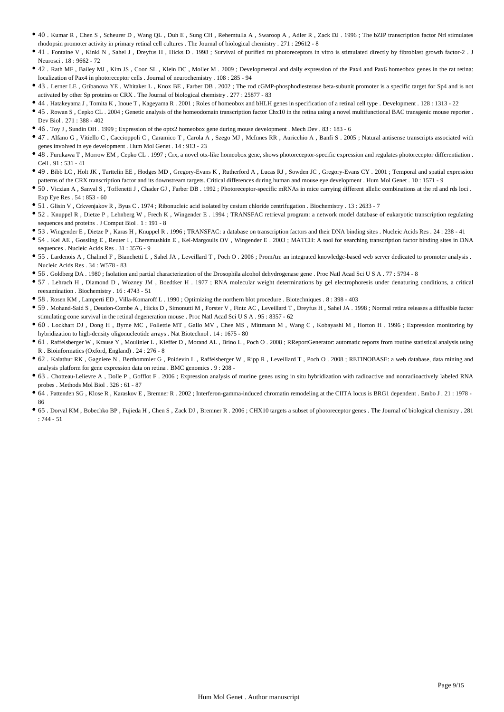- 40 . Kumar R , Chen S , Scheurer D , Wang QL , Duh E , Sung CH , Rehemtulla A , Swaroop A , Adler R , Zack DJ . 1996 ; The bZIP transcription factor Nrl stimulates rhodopsin promoter activity in primary retinal cell cultures . The Journal of biological chemistry . 271 : 29612 - 8
- 41 . Fontaine V , Kinkl N , Sahel J , Dreyfus H , Hicks D . 1998 ; Survival of purified rat photoreceptors in vitro is stimulated directly by fibroblast growth factor-2 . J Neurosci . 18 : 9662 - 72
- 42 . Rath MF , Bailey MJ , Kim JS , Coon SL , Klein DC , Moller M . 2009 ; Developmental and daily expression of the Pax4 and Pax6 homeobox genes in the rat retina: localization of Pax4 in photoreceptor cells . Journal of neurochemistry . 108 : 285 - 94
- 43 . Lerner LE , Gribanova YE , Whitaker L , Knox BE , Farber DB . 2002 ; The rod cGMP-phosphodiesterase beta-subunit promoter is a specific target for Sp4 and is not activated by other Sp proteins or CRX . The Journal of biological chemistry . 277 : 25877 - 83
- 44 . Hatakeyama J , Tomita K , Inoue T , Kageyama R . 2001 ; Roles of homeobox and bHLH genes in specification of a retinal cell type . Development . 128 : 1313 22
- 45 . Rowan S , Cepko CL . 2004 ; Genetic analysis of the homeodomain transcription factor Chx10 in the retina using a novel multifunctional BAC transgenic mouse reporter . Dev Biol . 271 : 388 - 402
- 46 . Toy J , Sundin OH . 1999 ; Expression of the optx2 homeobox gene during mouse development . Mech Dev . 83 : 183 6
- 47 . Alfano G , Vitiello C , Caccioppoli C , Caramico T , Carola A , Szego MJ , McInnes RR , Auricchio A , Banfi S . 2005 ; Natural antisense transcripts associated with genes involved in eye development . Hum Mol Genet . 14 : 913 - 23
- 48 . Furukawa T , Morrow EM , Cepko CL . 1997 ; Crx, a novel otx-like homeobox gene, shows photoreceptor-specific expression and regulates photoreceptor differentiation . Cell . 91 : 531 - 41
- 49 . Bibb LC , Holt JK , Tarttelin EE , Hodges MD , Gregory-Evans K , Rutherford A , Lucas RJ , Sowden JC , Gregory-Evans CY . 2001 ; Temporal and spatial expression patterns of the CRX transcription factor and its downstream targets. Critical differences during human and mouse eye development . Hum Mol Genet . 10 : 1571 - 9
- 50 . Viczian A , Sanyal S , Toffenetti J , Chader GJ , Farber DB . 1992 ; Photoreceptor-specific mRNAs in mice carrying different allelic combinations at the rd and rds loci . Exp Eye Res . 54 : 853 - 60
- 51 . Glisin V , Crkvenjakov R , Byus C . 1974 ; Ribonucleic acid isolated by cesium chloride centrifugation . Biochemistry . 13 : 2633 7
- 52 . Knuppel R , Dietze P , Lehnberg W , Frech K , Wingender E . 1994 ; TRANSFAC retrieval program: a network model database of eukaryotic transcription regulating sequences and proteins . J Comput Biol . 1 : 191 - 8
- 53 . Wingender E , Dietze P , Karas H , Knuppel R . 1996 ; TRANSFAC: a database on transcription factors and their DNA binding sites . Nucleic Acids Res . 24 : 238 41
- 54 . Kel AE , Gossling E , Reuter I , Cheremushkin E , Kel-Margoulis OV , Wingender E . 2003 ; MATCH: A tool for searching transcription factor binding sites in DNA sequences . Nucleic Acids Res . 31 : 3576 - 9
- 55 . Lardenois A , Chalmel F , Bianchetti L , Sahel JA , Leveillard T , Poch O . 2006 ; PromAn: an integrated knowledge-based web server dedicated to promoter analysis . Nucleic Acids Res . 34 : W578 - 83
- 56 . Goldberg DA . 1980 ; Isolation and partial characterization of the Drosophila alcohol dehydrogenase gene . Proc Natl Acad Sci U S A . 77 : 5794 8
- 57 . Lehrach H , Diamond D , Wozney JM , Boedtker H . 1977 ; RNA molecular weight determinations by gel electrophoresis under denaturing conditions, a critical reexamination . Biochemistry . 16 : 4743 - 51
- 58 . Rosen KM , Lamperti ED , Villa-Komaroff L . 1990 ; Optimizing the northern blot procedure . Biotechniques . 8 : 398 403
- 59 . Mohand-Said S , Deudon-Combe A , Hicks D , Simonutti M , Forster V , Fintz AC , Leveillard T , Dreyfus H , Sahel JA . 1998 ; Normal retina releases a diffusible factor stimulating cone survival in the retinal degeneration mouse . Proc Natl Acad Sci U S A . 95 : 8357 - 62
- 60 . Lockhart DJ , Dong H , Byrne MC , Follettie MT , Gallo MV , Chee MS , Mittmann M , Wang C , Kobayashi M , Horton H . 1996 ; Expression monitoring by hybridization to high-density oligonucleotide arrays . Nat Biotechnol . 14 : 1675 - 80
- 61 . Raffelsberger W , Krause Y , Moulinier L , Kieffer D , Morand AL , Brino L , Poch O . 2008 ; RReportGenerator: automatic reports from routine statistical analysis using R . Bioinformatics (Oxford, England) . 24 : 276 - 8
- 62 . Kalathur RK , Gagniere N , Berthommier G , Poidevin L , Raffelsberger W , Ripp R , Leveillard T , Poch O . 2008 ; RETINOBASE: a web database, data mining and analysis platform for gene expression data on retina . BMC genomics . 9 : 208 -
- 63 . Chotteau-Lelievre A , Dolle P , Gofflot F . 2006 ; Expression analysis of murine genes using in situ hybridization with radioactive and nonradioactively labeled RNA probes . Methods Mol Biol . 326 : 61 - 87
- 64 . Pattenden SG , Klose R , Karaskov E , Bremner R . 2002 ; Interferon-gamma-induced chromatin remodeling at the CIITA locus is BRG1 dependent . Embo J . 21 : 1978 86
- 65 . Dorval KM , Bobechko BP , Fujieda H , Chen S , Zack DJ , Bremner R . 2006 ; CHX10 targets a subset of photoreceptor genes . The Journal of biological chemistry . 281  $.744 - 51$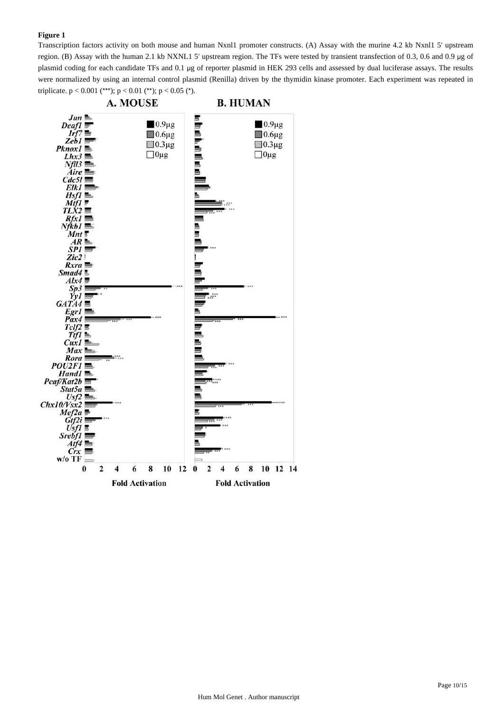Transcription factors activity on both mouse and human Nxnl1 promoter constructs. (A) Assay with the murine 4.2 kb Nxnl1 5′ upstream region. (B) Assay with the human 2.1 kb NXNL1 5′ upstream region. The TFs were tested by transient transfection of 0.3, 0.6 and 0.9 μg of plasmid coding for each candidate TFs and 0.1 μg of reporter plasmid in HEK 293 cells and assessed by dual luciferase assays. The results were normalized by using an internal control plasmid (Renilla) driven by the thymidin kinase promoter. Each experiment was repeated in triplicate.  $p < 0.001$  (\*\*\*);  $p < 0.01$  (\*\*);  $p < 0.05$  (\*).

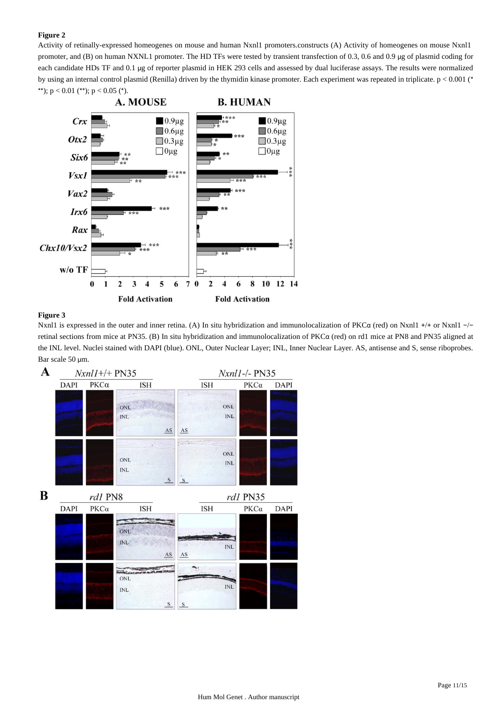Activity of retinally-expressed homeogenes on mouse and human Nxnl1 promoters.constructs (A) Activity of homeogenes on mouse Nxnl1 promoter, and (B) on human NXNL1 promoter. The HD TFs were tested by transient transfection of 0.3, 0.6 and 0.9 μg of plasmid coding for each candidate HDs TF and 0.1 μg of reporter plasmid in HEK 293 cells and assessed by dual luciferase assays. The results were normalized by using an internal control plasmid (Renilla) driven by the thymidin kinase promoter. Each experiment was repeated in triplicate. p < 0.001 (\* \*\*);  $p < 0.01$  (\*\*);  $p < 0.05$  (\*).



### **Figure 3**

Nxnl1 is expressed in the outer and inner retina. (A) In situ hybridization and immunolocalization of PKCα (red) on Nxnl1 +/+ or Nxnl1 −/− retinal sections from mice at PN35. (B) In situ hybridization and immunolocalization of PKCα (red) on rd1 mice at PN8 and PN35 aligned at the INL level. Nuclei stained with DAPI (blue). ONL, Outer Nuclear Layer; INL, Inner Nuclear Layer. AS, antisense and S, sense riboprobes. Bar scale 50 μm.

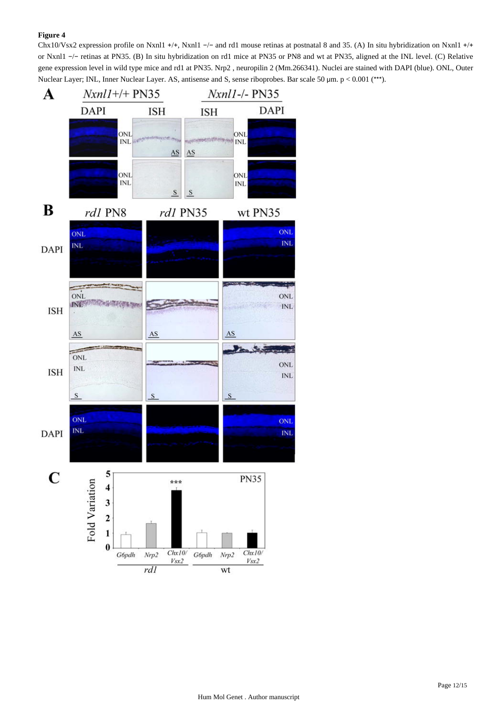Chx10/Vsx2 expression profile on Nxnl1 +/+, Nxnl1 −/− and rd1 mouse retinas at postnatal 8 and 35. (A) In situ hybridization on Nxnl1 +/+ or Nxnl1 −/− retinas at PN35. (B) In situ hybridization on rd1 mice at PN35 or PN8 and wt at PN35, aligned at the INL level. (C) Relative gene expression level in wild type mice and rd1 at PN35. Nrp2 , neuropilin 2 (Mm.266341). Nuclei are stained with DAPI (blue). ONL, Outer Nuclear Layer; INL, Inner Nuclear Layer. AS, antisense and S, sense riboprobes. Bar scale 50 μm. p < 0.001 (\*\*\*).

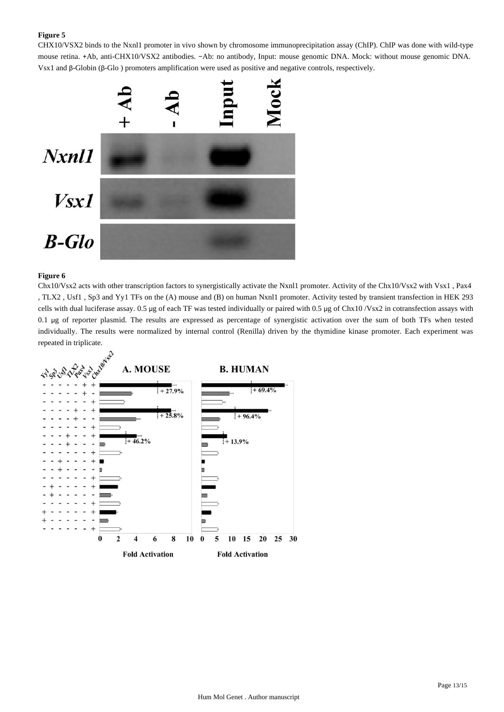CHX10/VSX2 binds to the Nxnl1 promoter in vivo shown by chromosome immunoprecipitation assay (ChIP). ChIP was done with wild-type mouse retina. +Ab, anti-CHX10/VSX2 antibodies. −Ab: no antibody, Input: mouse genomic DNA. Mock: without mouse genomic DNA. Vsx1 and β-Globin (β-Glo ) promoters amplification were used as positive and negative controls, respectively.



### **Figure 6**

Chx10/Vsx2 acts with other transcription factors to synergistically activate the Nxnl1 promoter. Activity of the Chx10/Vsx2 with Vsx1 , Pax4 , TLX2 , Usf1 , Sp3 and Yy1 TFs on the (A) mouse and (B) on human Nxnl1 promoter. Activity tested by transient transfection in HEK 293 cells with dual luciferase assay. 0.5 μg of each TF was tested individually or paired with 0.5 μg of Chx10 /Vsx2 in cotransfection assays with 0.1 μg of reporter plasmid. The results are expressed as percentage of synergistic activation over the sum of both TFs when tested individually. The results were normalized by internal control (Renilla) driven by the thymidine kinase promoter. Each experiment was repeated in triplicate.

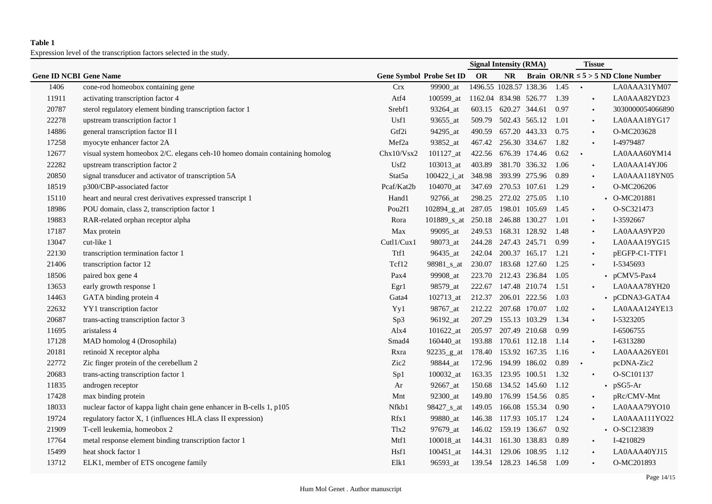## **Table 1**

Expression level of the transcription factors selected in the study.

|                               |                                                                            |                    |                                  | <b>Signal Intensity (RMA)</b> |                      |               | <b>Tissue</b> |           |                                          |
|-------------------------------|----------------------------------------------------------------------------|--------------------|----------------------------------|-------------------------------|----------------------|---------------|---------------|-----------|------------------------------------------|
| <b>Gene ID NCBI Gene Name</b> |                                                                            |                    | <b>Gene Symbol Probe Set ID</b>  | OR                            | <b>NR</b>            |               |               |           | Brain OR/NR $\leq 5$ > 5 ND Clone Number |
| 1406                          | cone-rod homeobox containing gene                                          | <b>Crx</b>         | 99900_at                         | 1496.55 1028.57 138.36        |                      |               | 1.45          | $\bullet$ | LA0AAA31YM07                             |
| 11911                         | activating transcription factor 4                                          | Atf4               | 100599_at                        | 1162.04 834.98 526.77         |                      |               | 1.39          | $\bullet$ | LA0AAA82YD23                             |
| 20787                         | sterol regulatory element binding transcription factor 1                   | Srebf1             | 93264_at                         | 603.15                        | 620.27 344.61        |               | 0.97          | $\bullet$ | 3030000054066890                         |
| 22278                         | upstream transcription factor 1                                            | Usf1               | 93655_at                         | 509.79                        | 502.43 565.12        |               | 1.01          | $\bullet$ | LA0AAA18YG17                             |
| 14886                         | general transcription factor II I                                          | Gtf2i              | 94295_at                         | 490.59                        | 657.20 443.33        |               | 0.75          | $\bullet$ | O-MC203628                               |
| 17258                         | myocyte enhancer factor 2A                                                 | Mef <sub>2a</sub>  | 93852_at                         | 467.42                        | 256.30 334.67        |               | 1.82          | $\bullet$ | I-4979487                                |
| 12677                         | visual system homeobox 2/C. elegans ceh-10 homeo domain containing homolog | Chx10/Vsx2         | 101127_at                        | 422.56                        | 676.39 174.46        |               | 0.62          | $\bullet$ | LA0AAA60YM14                             |
| 22282                         | upstream transcription factor 2                                            | Usf <sub>2</sub>   | 103013_at                        | 403.89                        | 381.70 336.32        |               | 1.06          | $\bullet$ | LA0AAA14YJ06                             |
| 20850                         | signal transducer and activator of transcription 5A                        | Stat5a             | 100422_i_at 348.98               |                               | 393.99 275.96        |               | 0.89          | $\bullet$ | LA0AAA118YN05                            |
| 18519                         | p300/CBP-associated factor                                                 | Pcaf/Kat2b         | 104070_at                        | 347.69                        | 270.53 107.61        |               | 1.29          |           | O-MC206206                               |
| 15110                         | heart and neural crest derivatives expressed transcript 1                  | Hand1              | 92766_at                         |                               | 298.25 272.02 275.05 |               | 1.10          |           | • O-MC201881                             |
| 18986                         | POU domain, class 2, transcription factor 1                                | Pou <sub>2f1</sub> | 102894_g_at 287.05               |                               | 198.01 105.69        |               | 1.45          | $\bullet$ | O-SC321473                               |
| 19883                         | RAR-related orphan receptor alpha                                          | Rora               | 101889_s_at 250.18 246.88 130.27 |                               |                      |               | 1.01          | $\bullet$ | I-3592667                                |
| 17187                         | Max protein                                                                | Max                | 99095_at                         | 249.53                        | 168.31 128.92        |               | 1.48          | $\bullet$ | LA0AAA9YP20                              |
| 13047                         | cut-like 1                                                                 | Cutl1/Cux1         | 98073_at                         | 244.28                        | 247.43 245.71        |               | 0.99          | $\bullet$ | LA0AAA19YG15                             |
| 22130                         | transcription termination factor 1                                         | Ttf1               | 96435_at                         |                               | 242.04 200.37 165.17 |               | 1.21          | $\bullet$ | pEGFP-C1-TTF1                            |
| 21406                         | transcription factor 12                                                    | Tcf12              | 98981_s_at                       | 230.07                        | 183.68 127.60        |               | 1.25          |           | I-5345693                                |
| 18506                         | paired box gene 4                                                          | Pax4               | 99908_at                         | 223.70                        | 212.43 236.84        |               | 1.05          |           | • $pCMV5-Pax4$                           |
| 13653                         | early growth response 1                                                    | Egr1               | 98579_at                         | 222.67                        | 147.48 210.74        |               | 1.51          |           | LA0AAA78YH20                             |
| 14463                         | GATA binding protein 4                                                     | Gata4              | 102713_at                        | 212.37                        | 206.01 222.56        |               | 1.03          |           | • pCDNA3-GATA4                           |
| 22632                         | YY1 transcription factor                                                   | Yy1                | 98767_at                         | 212.22                        | 207.68 170.07        |               | 1.02          | $\bullet$ | LA0AAA124YE13                            |
| 20687                         | trans-acting transcription factor 3                                        | Sp3                | 96192_at                         | 207.29                        | 155.13 103.29        |               | 1.34          |           | I-5323205                                |
| 11695                         | aristaless 4                                                               | Alx4               | 101622_at                        | 205.97                        | 207.49 210.68        |               | 0.99          |           | I-6506755                                |
| 17128                         | MAD homolog 4 (Drosophila)                                                 | Smad4              | 160440_at                        | 193.88                        | 170.61 112.18        |               | 1.14          | $\bullet$ | I-6313280                                |
| 20181                         | retinoid X receptor alpha                                                  | Rxra               | 92235_g_at                       | 178.40                        | 153.92 167.35        |               | 1.16          | $\bullet$ | LA0AAA26YE01                             |
| 22772                         | Zic finger protein of the cerebellum 2                                     | Zic2               | 98844_at                         | 172.96                        | 194.99 186.02        |               | 0.89          | $\bullet$ | pcDNA-Zic2                               |
| 20683                         | trans-acting transcription factor 1                                        | Sp1                | 100032_at                        | 163.35                        | 123.95 100.51        |               | 1.32          |           | O-SC101137                               |
| 11835                         | androgen receptor                                                          | Ar                 | 92667_at                         | 150.68                        | 134.52 145.60        |               | 1.12          |           | $\cdot$ pSG5-Ar                          |
| 17428                         | max binding protein                                                        | Mnt                | 92300_at                         | 149.80                        | 176.99 154.56        |               | 0.85          |           | pRc/CMV-Mnt                              |
| 18033                         | nuclear factor of kappa light chain gene enhancer in B-cells 1, p105       | Nfkb1              | 98427_s_at                       | 149.05                        |                      | 166.08 155.34 | 0.90          | $\bullet$ | LA0AAA79YO10                             |
| 19724                         | regulatory factor X, 1 (influences HLA class II expression)                | Rfx1               | 99880_at                         | 146.38                        | 117.93 105.17        |               | 1.24          |           | LA0AAA111YO22                            |
| 21909                         | T-cell leukemia, homeobox 2                                                | T <sub>1x2</sub>   | 97679_at                         | 146.02                        | 159.19 136.67        |               | 0.92          |           | $\cdot$ O-SC123839                       |
| 17764                         | metal response element binding transcription factor 1                      | Mtf1               | 100018_at                        | 144.31                        | 161.30 138.83        |               | 0.89          | $\bullet$ | I-4210829                                |
| 15499                         | heat shock factor 1                                                        | Hsf1               | $100451$ _at                     | 144.31                        | 129.06 108.95        |               | 1.12          |           | LA0AAA40YJ15                             |
| 13712                         | ELK1, member of ETS oncogene family                                        | Elk1               | 96593_at                         | 139.54 128.23 146.58          |                      |               | 1.09          |           | O-MC201893                               |